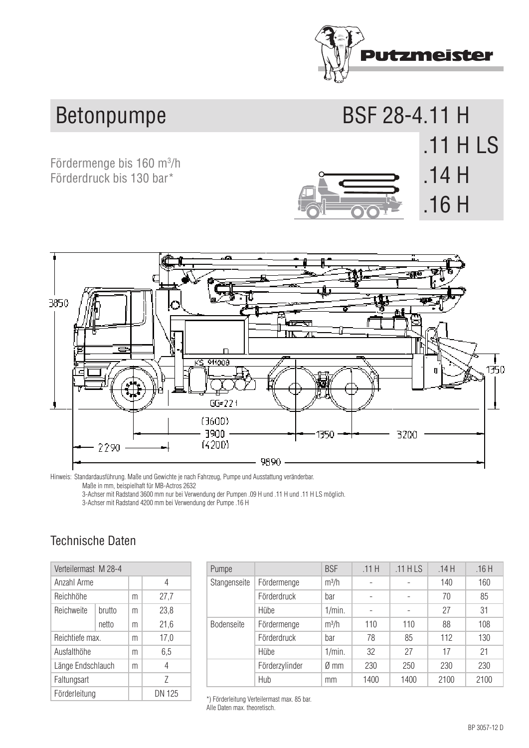

BSF 28-4.11 H

**.11 H LS**  .11 H LS

**.14 H .11 H LS**  .14 H

**.16 H** 

## **Betonpumpe**

**Fördermenge bis 160 m<sup>3</sup>/h and a struck-mounted bis 160 m<sup>3</sup>/h and a struck-mounted bis 160 m<sup>3</sup>/h and a struck-mounted** Förderdruck bis 130 bar<sup>\*</sup>



Notes: Standard version and weights depend on the standard on truck pump and necessary versions of the companion of the standard on the standard on the standard model and the standard model and the standard model and the s Hinweis: Standardausführung. Maße und Gewichte je nach Fahrzeug, Pumpe und Ausstattung veränderbar.

Maße in mm, beispielhaft für MB-Actros 2632

mabe in mm, beispielman in wie Actros 2002<br>3-Achser mit Radstand 3600 mm nur bei Verwendung der Pumpen .09 H und .11 H und .11 H LS möglich. 3-axie truck with usual or solo mm only possible if and the second base 3600 mm on the second pumps 11 H and the used of  $2$  are used.  $2$  are used to  $2$  are used. The second base 3600 mm on  $2$  are used. The second base

3-Achser mit Radstand 4200 mm bei Verwendung der Pumpe .16 H

## Technische Daten

| Verteilermast M 28-4 |        |   |        | Pumpe           |
|----------------------|--------|---|--------|-----------------|
| Anzahl Arme          |        |   | 4      | <b>Stangens</b> |
| Reichhöhe            |        | m | 27,7   |                 |
| Reichweite           | brutto | m | 23,8   |                 |
|                      | netto  | m | 21,6   | <b>Bodense</b>  |
| Reichtiefe max.      |        | m | 17,0   |                 |
| Ausfalthöhe          |        | m | 6,5    |                 |
| Länge Endschlauch    |        | m | 4      |                 |
| Faltungsart          |        |   | 7      |                 |
| Förderleitung        |        |   | DN 125 | *) Förderleit   |

| Pumpe             |                | <b>BSF</b>     | .11H | $.11$ HLS | .14H | .16H |
|-------------------|----------------|----------------|------|-----------|------|------|
| Stangenseite      | Fördermenge    | $m^3/h$        |      |           | 140  | 160  |
|                   | Förderdruck    | bar            |      |           | 70   | 85   |
|                   | Hübe           | 1/min.         |      |           | 27   | 31   |
| <b>Bodenseite</b> | Fördermenge    | $m^3/h$        | 110  | 110       | 88   | 108  |
|                   | Förderdruck    | bar            | 78   | 85        | 112  | 130  |
|                   | Hübe           | 1/min.         | 32   | 27        | 17   | 21   |
|                   | Förderzylinder | $\emptyset$ mm | 230  | 250       | 230  | 230  |
|                   | Hub            | mm             | 1400 | 1400      | 2100 | 2100 |

\*) Förderleitung Verteilermast max. 85 bar. Alle Daten max. theoretisch.